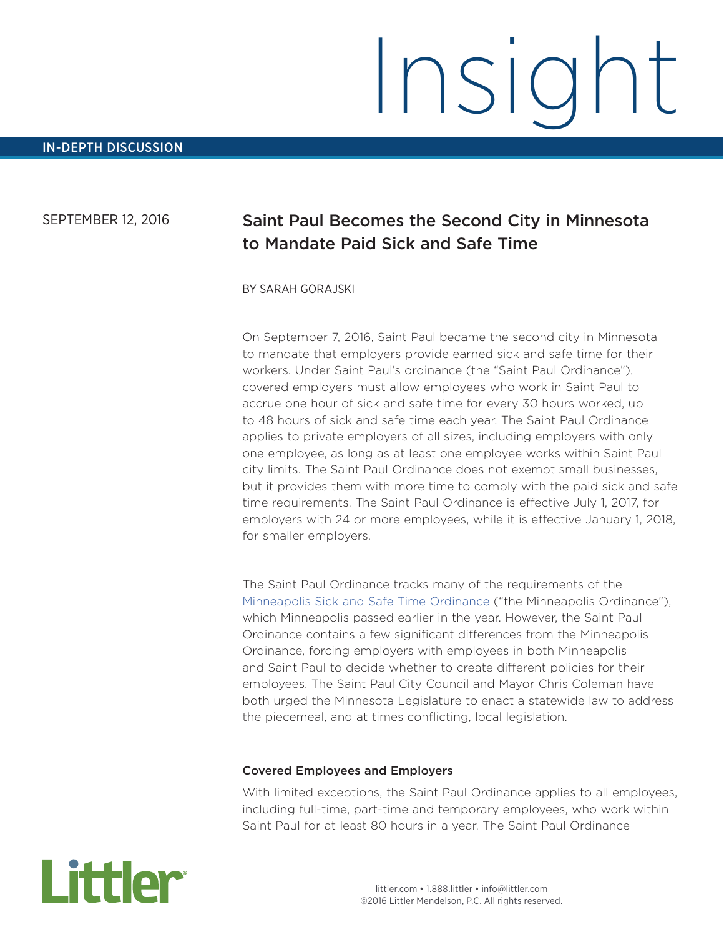# Insight

# SEPTEMBER 12, 2016

# Saint Paul Becomes the Second City in Minnesota to Mandate Paid Sick and Safe Time

#### BY SARAH GORAJSKI

On September 7, 2016, Saint Paul became the second city in Minnesota to mandate that employers provide earned sick and safe time for their workers. Under Saint Paul's ordinance (the "Saint Paul Ordinance"), covered employers must allow employees who work in Saint Paul to accrue one hour of sick and safe time for every 30 hours worked, up to 48 hours of sick and safe time each year. The Saint Paul Ordinance applies to private employers of all sizes, including employers with only one employee, as long as at least one employee works within Saint Paul city limits. The Saint Paul Ordinance does not exempt small businesses, but it provides them with more time to comply with the paid sick and safe time requirements. The Saint Paul Ordinance is effective July 1, 2017, for employers with 24 or more employees, while it is effective January 1, 2018, for smaller employers.

The Saint Paul Ordinance tracks many of the requirements of the Minneapolis Sick and Safe Time Ordinance ("the Minneapolis Ordinance"), which Minneapolis passed earlier in the year. However, the Saint Paul Ordinance contains a few significant differences from the Minneapolis Ordinance, forcing employers with employees in both Minneapolis and Saint Paul to decide whether to create different policies for their employees. The Saint Paul City Council and Mayor Chris Coleman have both urged the Minnesota Legislature to enact a statewide law to address the piecemeal, and at times conflicting, local legislation.

#### Covered Employees and Employers

With limited exceptions, the Saint Paul Ordinance applies to all employees, including full-time, part-time and temporary employees, who work within Saint Paul for at least 80 hours in a year. The Saint Paul Ordinance

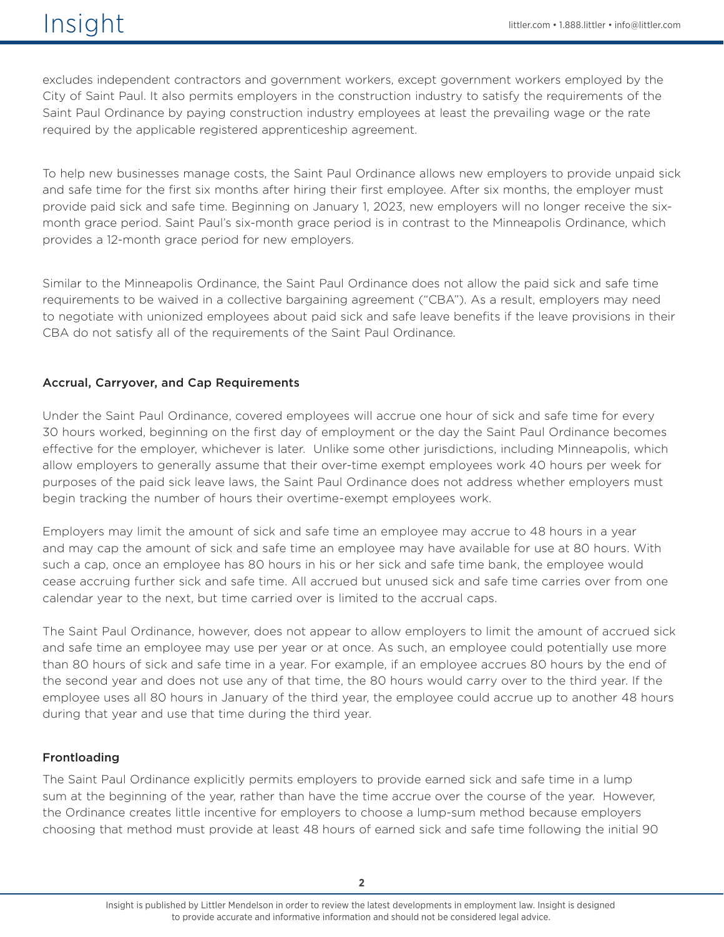excludes independent contractors and government workers, except government workers employed by the City of Saint Paul. It also permits employers in the construction industry to satisfy the requirements of the Saint Paul Ordinance by paying construction industry employees at least the prevailing wage or the rate required by the applicable registered apprenticeship agreement.

To help new businesses manage costs, the Saint Paul Ordinance allows new employers to provide unpaid sick and safe time for the first six months after hiring their first employee. After six months, the employer must provide paid sick and safe time. Beginning on January 1, 2023, new employers will no longer receive the sixmonth grace period. Saint Paul's six-month grace period is in contrast to the Minneapolis Ordinance, which provides a 12-month grace period for new employers.

Similar to the Minneapolis Ordinance, the Saint Paul Ordinance does not allow the paid sick and safe time requirements to be waived in a collective bargaining agreement ("CBA"). As a result, employers may need to negotiate with unionized employees about paid sick and safe leave benefits if the leave provisions in their CBA do not satisfy all of the requirements of the Saint Paul Ordinance.

# Accrual, Carryover, and Cap Requirements

Under the Saint Paul Ordinance, covered employees will accrue one hour of sick and safe time for every 30 hours worked, beginning on the first day of employment or the day the Saint Paul Ordinance becomes effective for the employer, whichever is later. Unlike some other jurisdictions, including Minneapolis, which allow employers to generally assume that their over-time exempt employees work 40 hours per week for purposes of the paid sick leave laws, the Saint Paul Ordinance does not address whether employers must begin tracking the number of hours their overtime-exempt employees work.

Employers may limit the amount of sick and safe time an employee may accrue to 48 hours in a year and may cap the amount of sick and safe time an employee may have available for use at 80 hours. With such a cap, once an employee has 80 hours in his or her sick and safe time bank, the employee would cease accruing further sick and safe time. All accrued but unused sick and safe time carries over from one calendar year to the next, but time carried over is limited to the accrual caps.

The Saint Paul Ordinance, however, does not appear to allow employers to limit the amount of accrued sick and safe time an employee may use per year or at once. As such, an employee could potentially use more than 80 hours of sick and safe time in a year. For example, if an employee accrues 80 hours by the end of the second year and does not use any of that time, the 80 hours would carry over to the third year. If the employee uses all 80 hours in January of the third year, the employee could accrue up to another 48 hours during that year and use that time during the third year.

# Frontloading

The Saint Paul Ordinance explicitly permits employers to provide earned sick and safe time in a lump sum at the beginning of the year, rather than have the time accrue over the course of the year. However, the Ordinance creates little incentive for employers to choose a lump-sum method because employers choosing that method must provide at least 48 hours of earned sick and safe time following the initial 90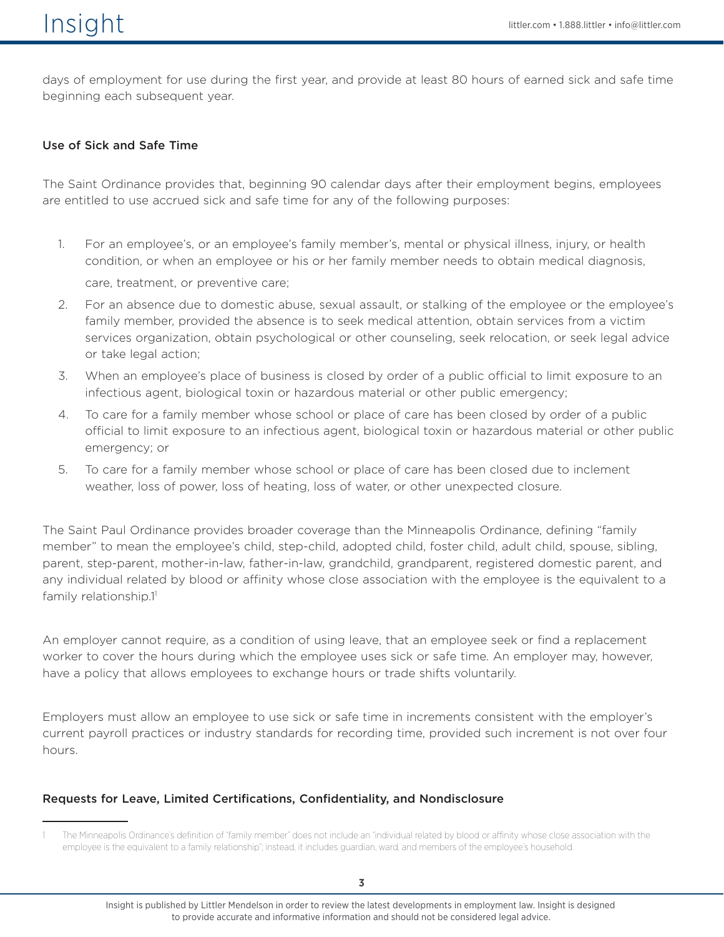days of employment for use during the first year, and provide at least 80 hours of earned sick and safe time beginning each subsequent year.

#### Use of Sick and Safe Time

The Saint Ordinance provides that, beginning 90 calendar days after their employment begins, employees are entitled to use accrued sick and safe time for any of the following purposes:

- 1. For an employee's, or an employee's family member's, mental or physical illness, injury, or health condition, or when an employee or his or her family member needs to obtain medical diagnosis, care, treatment, or preventive care;
- 2. For an absence due to domestic abuse, sexual assault, or stalking of the employee or the employee's family member, provided the absence is to seek medical attention, obtain services from a victim services organization, obtain psychological or other counseling, seek relocation, or seek legal advice or take legal action;
- 3. When an employee's place of business is closed by order of a public official to limit exposure to an infectious agent, biological toxin or hazardous material or other public emergency;
- 4. To care for a family member whose school or place of care has been closed by order of a public official to limit exposure to an infectious agent, biological toxin or hazardous material or other public emergency; or
- 5. To care for a family member whose school or place of care has been closed due to inclement weather, loss of power, loss of heating, loss of water, or other unexpected closure.

The Saint Paul Ordinance provides broader coverage than the Minneapolis Ordinance, defining "family member" to mean the employee's child, step-child, adopted child, foster child, adult child, spouse, sibling, parent, step-parent, mother-in-law, father-in-law, grandchild, grandparent, registered domestic parent, and any individual related by blood or affinity whose close association with the employee is the equivalent to a family relationship.11

An employer cannot require, as a condition of using leave, that an employee seek or find a replacement worker to cover the hours during which the employee uses sick or safe time. An employer may, however, have a policy that allows employees to exchange hours or trade shifts voluntarily.

Employers must allow an employee to use sick or safe time in increments consistent with the employer's current payroll practices or industry standards for recording time, provided such increment is not over four hours.

#### Requests for Leave, Limited Certifications, Confidentiality, and Nondisclosure

The Minneapolis Ordinance's definition of "family member" does not include an "individual related by blood or affinity whose close association with the employee is the equivalent to a family relationship"; instead, it includes guardian, ward, and members of the employee's household.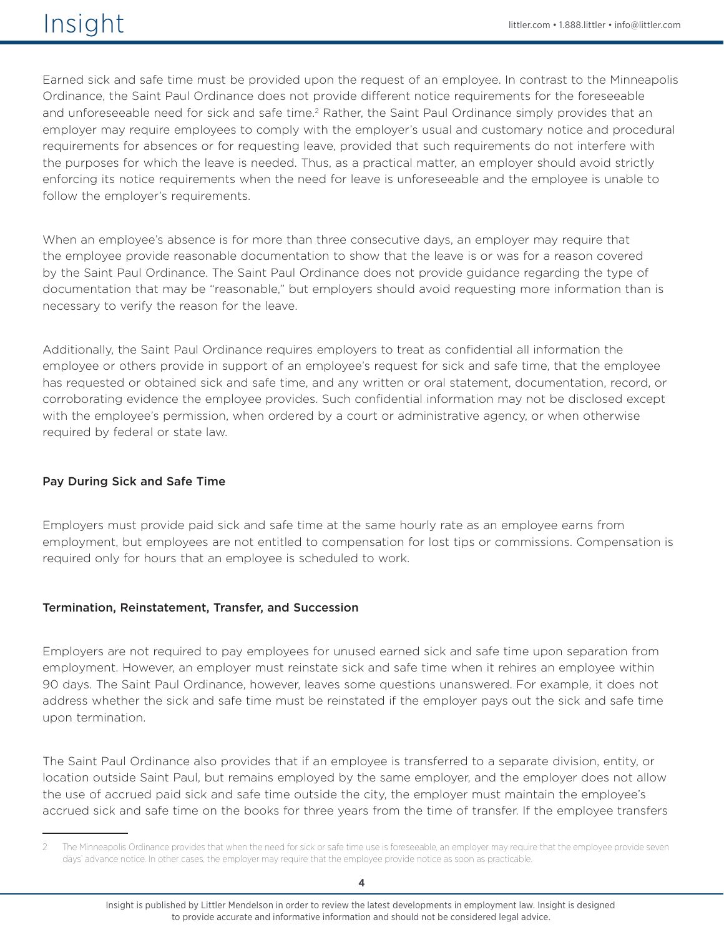Earned sick and safe time must be provided upon the request of an employee. In contrast to the Minneapolis Ordinance, the Saint Paul Ordinance does not provide different notice requirements for the foreseeable and unforeseeable need for sick and safe time.<sup>2</sup> Rather, the Saint Paul Ordinance simply provides that an employer may require employees to comply with the employer's usual and customary notice and procedural requirements for absences or for requesting leave, provided that such requirements do not interfere with the purposes for which the leave is needed. Thus, as a practical matter, an employer should avoid strictly enforcing its notice requirements when the need for leave is unforeseeable and the employee is unable to follow the employer's requirements.

When an employee's absence is for more than three consecutive days, an employer may require that the employee provide reasonable documentation to show that the leave is or was for a reason covered by the Saint Paul Ordinance. The Saint Paul Ordinance does not provide guidance regarding the type of documentation that may be "reasonable," but employers should avoid requesting more information than is necessary to verify the reason for the leave.

Additionally, the Saint Paul Ordinance requires employers to treat as confidential all information the employee or others provide in support of an employee's request for sick and safe time, that the employee has requested or obtained sick and safe time, and any written or oral statement, documentation, record, or corroborating evidence the employee provides. Such confidential information may not be disclosed except with the employee's permission, when ordered by a court or administrative agency, or when otherwise required by federal or state law.

# Pay During Sick and Safe Time

Employers must provide paid sick and safe time at the same hourly rate as an employee earns from employment, but employees are not entitled to compensation for lost tips or commissions. Compensation is required only for hours that an employee is scheduled to work.

#### Termination, Reinstatement, Transfer, and Succession

Employers are not required to pay employees for unused earned sick and safe time upon separation from employment. However, an employer must reinstate sick and safe time when it rehires an employee within 90 days. The Saint Paul Ordinance, however, leaves some questions unanswered. For example, it does not address whether the sick and safe time must be reinstated if the employer pays out the sick and safe time upon termination.

The Saint Paul Ordinance also provides that if an employee is transferred to a separate division, entity, or location outside Saint Paul, but remains employed by the same employer, and the employer does not allow the use of accrued paid sick and safe time outside the city, the employer must maintain the employee's accrued sick and safe time on the books for three years from the time of transfer. If the employee transfers

The Minneapolis Ordinance provides that when the need for sick or safe time use is foreseeable, an employer may require that the employee provide seven days' advance notice. In other cases, the employer may require that the employee provide notice as soon as practicable.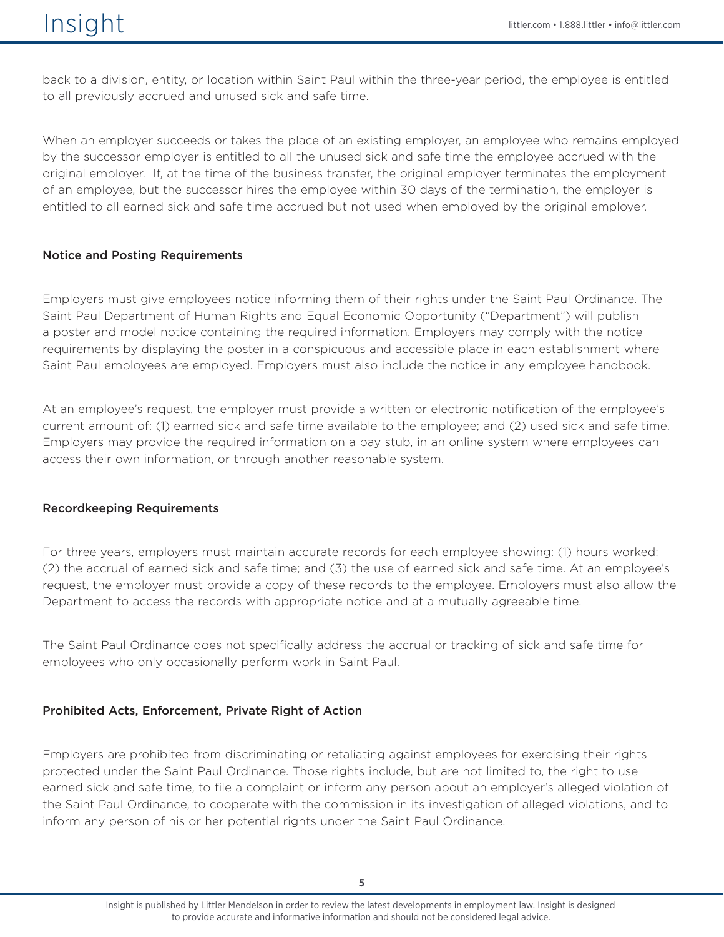back to a division, entity, or location within Saint Paul within the three-year period, the employee is entitled to all previously accrued and unused sick and safe time.

When an employer succeeds or takes the place of an existing employer, an employee who remains employed by the successor employer is entitled to all the unused sick and safe time the employee accrued with the original employer. If, at the time of the business transfer, the original employer terminates the employment of an employee, but the successor hires the employee within 30 days of the termination, the employer is entitled to all earned sick and safe time accrued but not used when employed by the original employer.

#### Notice and Posting Requirements

Employers must give employees notice informing them of their rights under the Saint Paul Ordinance. The Saint Paul Department of Human Rights and Equal Economic Opportunity ("Department") will publish a poster and model notice containing the required information. Employers may comply with the notice requirements by displaying the poster in a conspicuous and accessible place in each establishment where Saint Paul employees are employed. Employers must also include the notice in any employee handbook.

At an employee's request, the employer must provide a written or electronic notification of the employee's current amount of: (1) earned sick and safe time available to the employee; and (2) used sick and safe time. Employers may provide the required information on a pay stub, in an online system where employees can access their own information, or through another reasonable system.

#### Recordkeeping Requirements

For three years, employers must maintain accurate records for each employee showing: (1) hours worked; (2) the accrual of earned sick and safe time; and (3) the use of earned sick and safe time. At an employee's request, the employer must provide a copy of these records to the employee. Employers must also allow the Department to access the records with appropriate notice and at a mutually agreeable time.

The Saint Paul Ordinance does not specifically address the accrual or tracking of sick and safe time for employees who only occasionally perform work in Saint Paul.

# Prohibited Acts, Enforcement, Private Right of Action

Employers are prohibited from discriminating or retaliating against employees for exercising their rights protected under the Saint Paul Ordinance. Those rights include, but are not limited to, the right to use earned sick and safe time, to file a complaint or inform any person about an employer's alleged violation of the Saint Paul Ordinance, to cooperate with the commission in its investigation of alleged violations, and to inform any person of his or her potential rights under the Saint Paul Ordinance.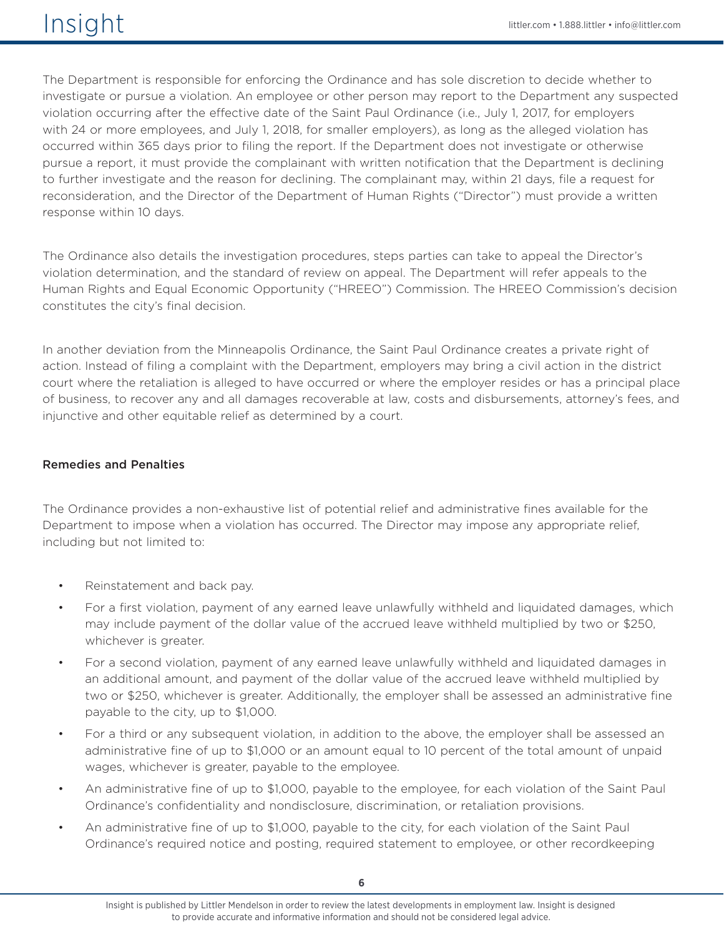The Department is responsible for enforcing the Ordinance and has sole discretion to decide whether to investigate or pursue a violation. An employee or other person may report to the Department any suspected violation occurring after the effective date of the Saint Paul Ordinance (i.e., July 1, 2017, for employers with 24 or more employees, and July 1, 2018, for smaller employers), as long as the alleged violation has occurred within 365 days prior to filing the report. If the Department does not investigate or otherwise pursue a report, it must provide the complainant with written notification that the Department is declining to further investigate and the reason for declining. The complainant may, within 21 days, file a request for reconsideration, and the Director of the Department of Human Rights ("Director") must provide a written response within 10 days.

The Ordinance also details the investigation procedures, steps parties can take to appeal the Director's violation determination, and the standard of review on appeal. The Department will refer appeals to the Human Rights and Equal Economic Opportunity ("HREEO") Commission. The HREEO Commission's decision constitutes the city's final decision.

In another deviation from the Minneapolis Ordinance, the Saint Paul Ordinance creates a private right of action. Instead of filing a complaint with the Department, employers may bring a civil action in the district court where the retaliation is alleged to have occurred or where the employer resides or has a principal place of business, to recover any and all damages recoverable at law, costs and disbursements, attorney's fees, and injunctive and other equitable relief as determined by a court.

#### Remedies and Penalties

The Ordinance provides a non-exhaustive list of potential relief and administrative fines available for the Department to impose when a violation has occurred. The Director may impose any appropriate relief, including but not limited to:

- Reinstatement and back pay.
- For a first violation, payment of any earned leave unlawfully withheld and liquidated damages, which may include payment of the dollar value of the accrued leave withheld multiplied by two or \$250, whichever is greater.
- For a second violation, payment of any earned leave unlawfully withheld and liquidated damages in an additional amount, and payment of the dollar value of the accrued leave withheld multiplied by two or \$250, whichever is greater. Additionally, the employer shall be assessed an administrative fine payable to the city, up to \$1,000.
- For a third or any subsequent violation, in addition to the above, the employer shall be assessed an administrative fine of up to \$1,000 or an amount equal to 10 percent of the total amount of unpaid wages, whichever is greater, payable to the employee.
- An administrative fine of up to \$1,000, payable to the employee, for each violation of the Saint Paul Ordinance's confidentiality and nondisclosure, discrimination, or retaliation provisions.
- An administrative fine of up to \$1,000, payable to the city, for each violation of the Saint Paul Ordinance's required notice and posting, required statement to employee, or other recordkeeping